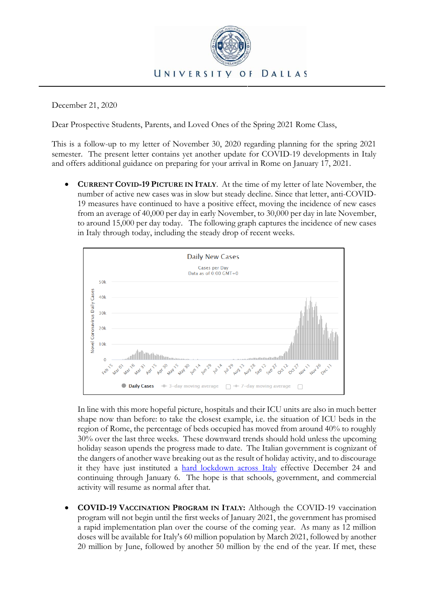

December 21, 2020

Dear Prospective Students, Parents, and Loved Ones of the Spring 2021 Rome Class,

This is a follow-up to my letter of November 30, 2020 regarding planning for the spring 2021 semester. The present letter contains yet another update for COVID-19 developments in Italy and offers additional guidance on preparing for your arrival in Rome on January 17, 2021.

• **CURRENT COVID-19 PICTURE IN ITALY**. At the time of my letter of late November, the number of active new cases was in slow but steady decline. Since that letter, anti-COVID-19 measures have continued to have a positive effect, moving the incidence of new cases from an average of 40,000 per day in early November, to 30,000 per day in late November, to around 15,000 per day today. The following graph captures the incidence of new cases in Italy through today, including the steady drop of recent weeks.



In line with this more hopeful picture, hospitals and their ICU units are also in much better shape now than before: to take the closest example, i.e. the situation of ICU beds in the region of Rome, the percentage of beds occupied has moved from around 40% to roughly 30% over the last three weeks. These downward trends should hold unless the upcoming holiday season upends the progress made to date. The Italian government is cognizant of the dangers of another wave breaking out as the result of holiday activity, and to discourage it they have just instituted a [hard lockdown across Italy](https://www.axios.com/italy-christmas-new-year-coronavirus-lockdown-435ec57f-d4e6-4102-9b6e-b71ff92b0961.html) effective December 24 and continuing through January 6. The hope is that schools, government, and commercial activity will resume as normal after that.

• **COVID-19 VACCINATION PROGRAM IN ITALY:** Although the COVID-19 vaccination program will not begin until the first weeks of January 2021, the government has promised a rapid implementation plan over the course of the coming year. As many as 12 million doses will be available for Italy's 60 million population by March 2021, followed by another 20 million by June, followed by another 50 million by the end of the year. If met, these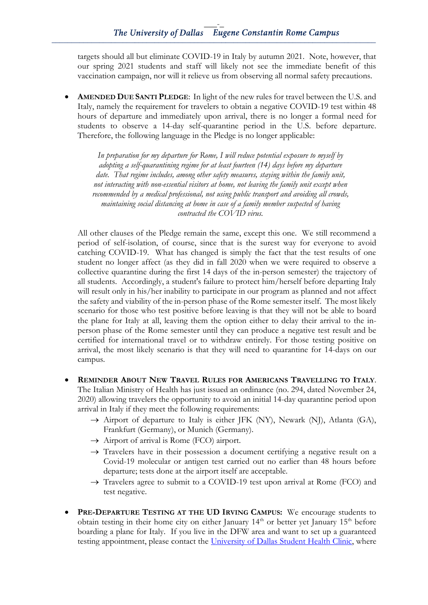targets should all but eliminate COVID-19 in Italy by autumn 2021. Note, however, that our spring 2021 students and staff will likely not see the immediate benefit of this vaccination campaign, nor will it relieve us from observing all normal safety precautions.

• **AMENDED DUE SANTI PLEDGE**: In light of the new rules for travel between the U.S. and Italy, namely the requirement for travelers to obtain a negative COVID-19 test within 48 hours of departure and immediately upon arrival, there is no longer a formal need for students to observe a 14-day self-quarantine period in the U.S. before departure. Therefore, the following language in the Pledge is no longer applicable:

*In preparation for my departure for Rome, I will reduce potential exposure to myself by adopting a self-quarantining regime for at least fourteen (14) days before my departure date. That regime includes, among other safety measures, staying within the family unit, not interacting with non-essential visitors at home, not leaving the family unit except when recommended by a medical professional, not using public transport and avoiding all crowds, maintaining social distancing at home in case of a family member suspected of having contracted the COVID virus.*

All other clauses of the Pledge remain the same, except this one. We still recommend a period of self-isolation, of course, since that is the surest way for everyone to avoid catching COVID-19. What has changed is simply the fact that the test results of one student no longer affect (as they did in fall 2020 when we were required to observe a collective quarantine during the first 14 days of the in-person semester) the trajectory of all students. Accordingly, a student's failure to protect him/herself before departing Italy will result only in his/her inability to participate in our program as planned and not affect the safety and viability of the in-person phase of the Rome semester itself. The most likely scenario for those who test positive before leaving is that they will not be able to board the plane for Italy at all, leaving them the option either to delay their arrival to the inperson phase of the Rome semester until they can produce a negative test result and be certified for international travel or to withdraw entirely. For those testing positive on arrival, the most likely scenario is that they will need to quarantine for 14-days on our campus.

- **REMINDER ABOUT NEW TRAVEL RULES FOR AMERICANS TRAVELLING TO ITALY**. The Italian Ministry of Health has just issued an ordinance (no. 294, dated November 24, 2020) allowing travelers the opportunity to avoid an initial 14-day quarantine period upon arrival in Italy if they meet the following requirements:
	- $\rightarrow$  Airport of departure to Italy is either JFK (NY), Newark (NJ), Atlanta (GA), Frankfurt (Germany), or Munich (Germany).
	- $\rightarrow$  Airport of arrival is Rome (FCO) airport.
	- $\rightarrow$  Travelers have in their possession a document certifying a negative result on a Covid-19 molecular or antigen test carried out no earlier than 48 hours before departure; tests done at the airport itself are acceptable.
	- $\rightarrow$  Travelers agree to submit to a COVID-19 test upon arrival at Rome (FCO) and test negative.
- **PRE-DEPARTURE TESTING AT THE UD IRVING CAMPUS:** We encourage students to obtain testing in their home city on either January  $14<sup>th</sup>$  or better yet January  $15<sup>th</sup>$  before boarding a plane for Italy. If you live in the DFW area and want to set up a guaranteed testing appointment, please contact the [University of Dallas Student](https://udallas.edu/offices/student-affairs/healthservices/studenthealthclinic/index.php) Health Clinic, where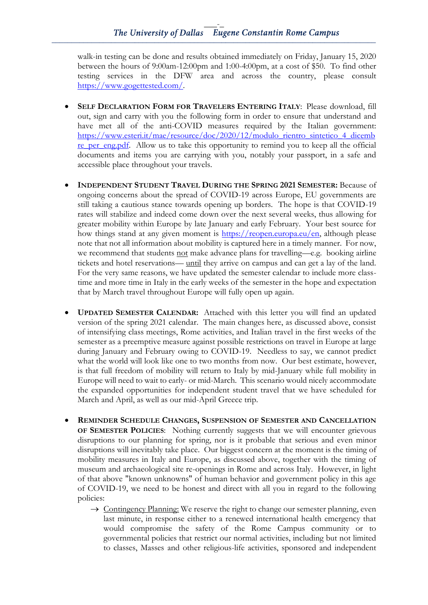walk-in testing can be done and results obtained immediately on Friday, January 15, 2020 between the hours of 9:00am-12:00pm and 1:00-4:00pm, at a cost of \$50. To find other testing services in the DFW area and across the country, please consult [https://www.gogettested.com/.](https://www.gogettested.com/)

- **SELF DECLARATION FORM FOR TRAVELERS ENTERING ITALY**: Please download, fill out, sign and carry with you the following form in order to ensure that understand and have met all of the anti-COVID measures required by the Italian government: [https://www.esteri.it/mae/resource/doc/2020/12/modulo\\_rientro\\_sintetico\\_4\\_dicemb](https://www.esteri.it/mae/resource/doc/2020/12/modulo_rientro_sintetico_4_dicembre_per_eng.pdf) re per eng.pdf. Allow us to take this opportunity to remind you to keep all the official documents and items you are carrying with you, notably your passport, in a safe and accessible place throughout your travels.
- **INDEPENDENT STUDENT TRAVEL DURING THE SPRING 2021 SEMESTER:** Because of ongoing concerns about the spread of COVID-19 across Europe, EU governments are still taking a cautious stance towards opening up borders. The hope is that COVID-19 rates will stabilize and indeed come down over the next several weeks, thus allowing for greater mobility within Europe by late January and early February. Your best source for how things stand at any given moment is [https://reopen.europa.eu/en,](https://reopen.europa.eu/en) although please note that not all information about mobility is captured here in a timely manner. For now, we recommend that students not make advance plans for travelling—e.g. booking airline tickets and hotel reservations— until they arrive on campus and can get a lay of the land. For the very same reasons, we have updated the semester calendar to include more classtime and more time in Italy in the early weeks of the semester in the hope and expectation that by March travel throughout Europe will fully open up again.
- **UPDATED SEMESTER CALENDAR:** Attached with this letter you will find an updated version of the spring 2021 calendar. The main changes here, as discussed above, consist of intensifying class meetings, Rome activities, and Italian travel in the first weeks of the semester as a preemptive measure against possible restrictions on travel in Europe at large during January and February owing to COVID-19. Needless to say, we cannot predict what the world will look like one to two months from now. Our best estimate, however, is that full freedom of mobility will return to Italy by mid-January while full mobility in Europe will need to wait to early- or mid-March. This scenario would nicely accommodate the expanded opportunities for independent student travel that we have scheduled for March and April, as well as our mid-April Greece trip.
- **REMINDER SCHEDULE CHANGES, SUSPENSION OF SEMESTER AND CANCELLATION OF SEMESTER POLICIES:** Nothing currently suggests that we will encounter grievous disruptions to our planning for spring, nor is it probable that serious and even minor disruptions will inevitably take place. Our biggest concern at the moment is the timing of mobility measures in Italy and Europe, as discussed above, together with the timing of museum and archaeological site re-openings in Rome and across Italy. However, in light of that above "known unknowns" of human behavior and government policy in this age of COVID-19, we need to be honest and direct with all you in regard to the following policies:
	- $\rightarrow$  Contingency Planning: We reserve the right to change our semester planning, even last minute, in response either to a renewed international health emergency that would compromise the safety of the Rome Campus community or to governmental policies that restrict our normal activities, including but not limited to classes, Masses and other religious-life activities, sponsored and independent